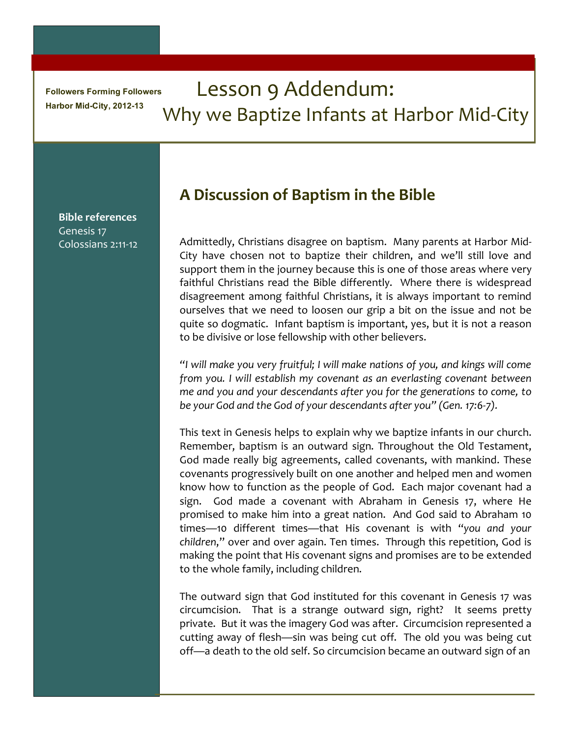**Followers Forming Followers** Harbor Mid-City, 2012-13

# Lesson 9 Addendum: Why we Baptize Infants at Harbor Mid-City

**Bible references** Genesis 17 Colossians 2:11-12

# A Discussion of Baptism in the Bible

Admittedly, Christians disagree on baptism. Many parents at Harbor Mid-City have chosen not to baptize their children, and we'll still love and support them in the journey because this is one of those areas where very faithful Christians read the Bible differently. Where there is widespread disagreement among faithful Christians, it is always important to remind ourselves that we need to loosen our grip a bit on the issue and not be quite so dogmatic. Infant baptism is important, yes, but it is not a reason to be divisive or lose fellowship with other believers.

"I will make you very fruitful; I will make nations of you, and kings will come from you. I will establish my covenant as an everlasting covenant between me and you and your descendants after you for the generations to come, to be your God and the God of your descendants after you" (Gen. 17:6-7).

This text in Genesis helps to explain why we baptize infants in our church. Remember, baptism is an outward sign. Throughout the Old Testament, God made really big agreements, called covenants, with mankind. These covenants progressively built on one another and helped men and women know how to function as the people of God. Each major covenant had a sign. God made a covenant with Abraham in Genesis 17, where He promised to make him into a great nation. And God said to Abraham 10 times-10 different times-that His covenant is with "you and your children," over and over again. Ten times. Through this repetition, God is making the point that His covenant signs and promises are to be extended to the whole family, including children.

The outward sign that God instituted for this covenant in Genesis 17 was circumcision. That is a strange outward sign, right? It seems pretty private. But it was the imagery God was after. Circumcision represented a cutting away of flesh—sin was being cut off. The old you was being cut off—a death to the old self. So circumcision became an outward sign of an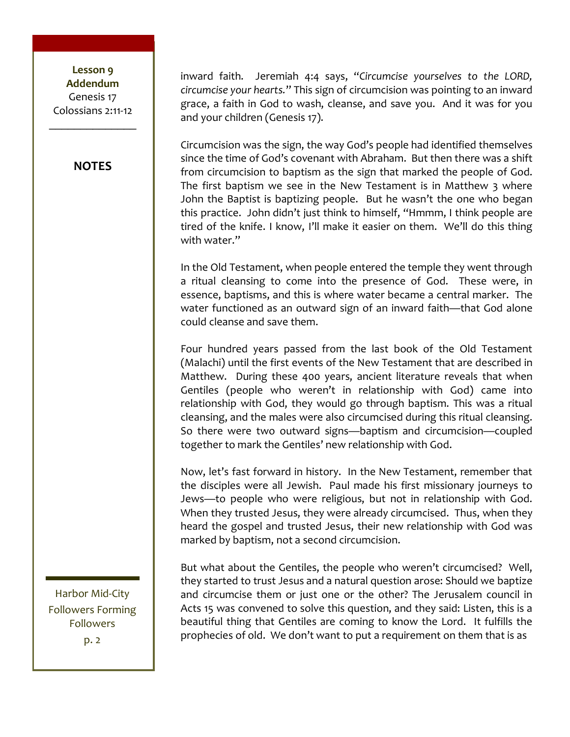Lesson 9 **Addendum** Genesis 17 Colossians 2:11-12

#### **NOTES**

inward faith. Jeremiah 4:4 says, "Circumcise yourselves to the LORD, circumcise your hearts." This sign of circumcision was pointing to an inward grace, a faith in God to wash, cleanse, and save you. And it was for you and your children (Genesis 17).

Circumcision was the sign, the way God's people had identified themselves since the time of God's covenant with Abraham. But then there was a shift from circumcision to baptism as the sign that marked the people of God. The first baptism we see in the New Testament is in Matthew 3 where John the Baptist is baptizing people. But he wasn't the one who began this practice. John didn't just think to himself, "Hmmm, I think people are tired of the knife. I know, I'll make it easier on them. We'll do this thing with water."

In the Old Testament, when people entered the temple they went through a ritual cleansing to come into the presence of God. These were, in essence, baptisms, and this is where water became a central marker. The water functioned as an outward sign of an inward faith—that God alone could cleanse and save them.

Four hundred years passed from the last book of the Old Testament (Malachi) until the first events of the New Testament that are described in Matthew. During these 400 years, ancient literature reveals that when Gentiles (people who weren't in relationship with God) came into relationship with God, they would go through baptism. This was a ritual cleansing, and the males were also circumcised during this ritual cleansing. So there were two outward signs—baptism and circumcision—coupled together to mark the Gentiles' new relationship with God.

Now, let's fast forward in history. In the New Testament, remember that the disciples were all Jewish. Paul made his first missionary journeys to Jews-to people who were religious, but not in relationship with God. When they trusted Jesus, they were already circumcised. Thus, when they heard the gospel and trusted Jesus, their new relationship with God was marked by baptism, not a second circumcision.

But what about the Gentiles, the people who weren't circumcised? Well, they started to trust Jesus and a natural question arose: Should we baptize and circumcise them or just one or the other? The Jerusalem council in Acts 15 was convened to solve this question, and they said: Listen, this is a beautiful thing that Gentiles are coming to know the Lord. It fulfills the prophecies of old. We don't want to put a requirement on them that is as

Harbor Mid-City **Followers Forming Followers**  $p.2$